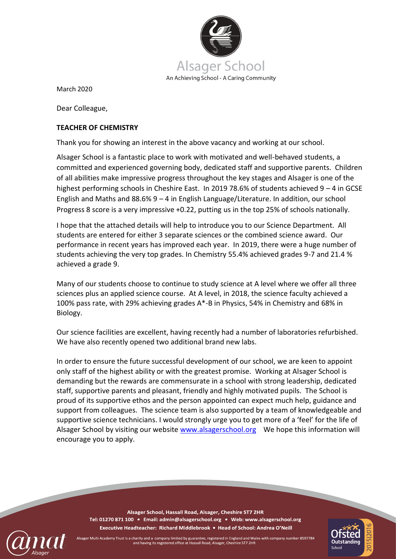

March 2020

Dear Colleague,

## **TEACHER OF CHEMISTRY**

Thank you for showing an interest in the above vacancy and working at our school.

Alsager School is a fantastic place to work with motivated and well-behaved students, a committed and experienced governing body, dedicated staff and supportive parents. Children of all abilities make impressive progress throughout the key stages and Alsager is one of the highest performing schools in Cheshire East. In 2019 78.6% of students achieved 9 – 4 in GCSE English and Maths and 88.6% 9 – 4 in English Language/Literature. In addition, our school Progress 8 score is a very impressive +0.22, putting us in the top 25% of schools nationally.

I hope that the attached details will help to introduce you to our Science Department. All students are entered for either 3 separate sciences or the combined science award. Our performance in recent years has improved each year. In 2019, there were a huge number of students achieving the very top grades. In Chemistry 55.4% achieved grades 9-7 and 21.4 % achieved a grade 9.

Many of our students choose to continue to study science at A level where we offer all three sciences plus an applied science course. At A level, in 2018, the science faculty achieved a 100% pass rate, with 29% achieving grades A\*-B in Physics, 54% in Chemistry and 68% in Biology.

Our science facilities are excellent, having recently had a number of laboratories refurbished. We have also recently opened two additional brand new labs.

In order to ensure the future successful development of our school, we are keen to appoint only staff of the highest ability or with the greatest promise. Working at Alsager School is demanding but the rewards are commensurate in a school with strong leadership, dedicated staff, supportive parents and pleasant, friendly and highly motivated pupils. The School is proud of its supportive ethos and the person appointed can expect much help, guidance and support from colleagues. The science team is also supported by a team of knowledgeable and supportive science technicians. I would strongly urge you to get more of a 'feel' for the life of Alsager School by visiting our website [www.alsagerschool.org](http://www.alsagerschool.org/) We hope this information will encourage you to apply.

Alsager School, Hassall Road, Alsager, Cheshire ST7 2HR Tel: 01270 871 100 · Email: admin@alsagerschool.org · Web: www.alsagerschool.org Executive Headteacher: Richard Middlebrook • Head of School: Andrea O'Neill



Alsager Multi Academy Trust is a charity and a company limited by guarantee, registered in England and Wales with company number 8597784 and having its registered office at Hassall Road, Alsager, Cheshire ST7 2HR